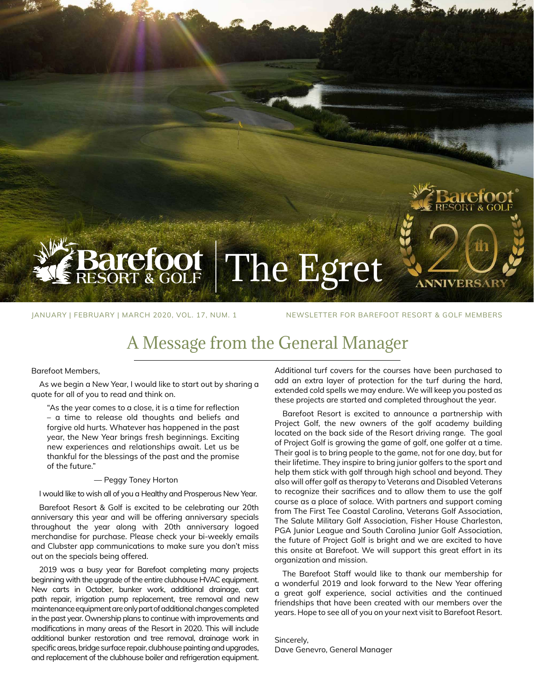# **refoot** The Egret

JANUARY | FEBRUARY | MARCH 2020, VOL. 17, NUM. 1 NEWSLETTER FOR BAREFOOT RESORT & GOLF MEMBERS

ORT & GO

VNIVEI

# A Message from the General Manager

#### Barefoot Members,

As we begin a New Year, I would like to start out by sharing a quote for all of you to read and think on.

"As the year comes to a close, it is a time for reflection – a time to release old thoughts and beliefs and forgive old hurts. Whatever has happened in the past year, the New Year brings fresh beginnings. Exciting new experiences and relationships await. Let us be thankful for the blessings of the past and the promise of the future."

#### ― Peggy Toney Horton

#### I would like to wish all of you a Healthy and Prosperous New Year.

Barefoot Resort & Golf is excited to be celebrating our 20th anniversary this year and will be offering anniversary specials throughout the year along with 20th anniversary logoed merchandise for purchase. Please check your bi-weekly emails and Clubster app communications to make sure you don't miss out on the specials being offered.

2019 was a busy year for Barefoot completing many projects beginning with the upgrade of the entire clubhouse HVAC equipment. New carts in October, bunker work, additional drainage, cart path repair, irrigation pump replacement, tree removal and new maintenance equipment are only part of additional changes completed in the past year. Ownership plans to continue with improvements and modifications in many areas of the Resort in 2020. This will include additional bunker restoration and tree removal, drainage work in specific areas, bridge surface repair, clubhouse painting and upgrades, and replacement of the clubhouse boiler and refrigeration equipment.

Additional turf covers for the courses have been purchased to add an extra layer of protection for the turf during the hard, extended cold spells we may endure. We will keep you posted as these projects are started and completed throughout the year.

Barefoot Resort is excited to announce a partnership with Project Golf, the new owners of the golf academy building located on the back side of the Resort driving range. The goal of Project Golf is growing the game of golf, one golfer at a time. Their goal is to bring people to the game, not for one day, but for their lifetime. They inspire to bring junior golfers to the sport and help them stick with golf through high school and beyond. They also will offer golf as therapy to Veterans and Disabled Veterans to recognize their sacrifices and to allow them to use the golf course as a place of solace. With partners and support coming from The First Tee Coastal Carolina, Veterans Golf Association, The Salute Military Golf Association, Fisher House Charleston, PGA Junior League and South Carolina Junior Golf Association, the future of Project Golf is bright and we are excited to have this onsite at Barefoot. We will support this great effort in its organization and mission.

The Barefoot Staff would like to thank our membership for a wonderful 2019 and look forward to the New Year offering a great golf experience, social activities and the continued friendships that have been created with our members over the years. Hope to see all of you on your next visit to Barefoot Resort.

Sincerely, Dave Genevro, General Manager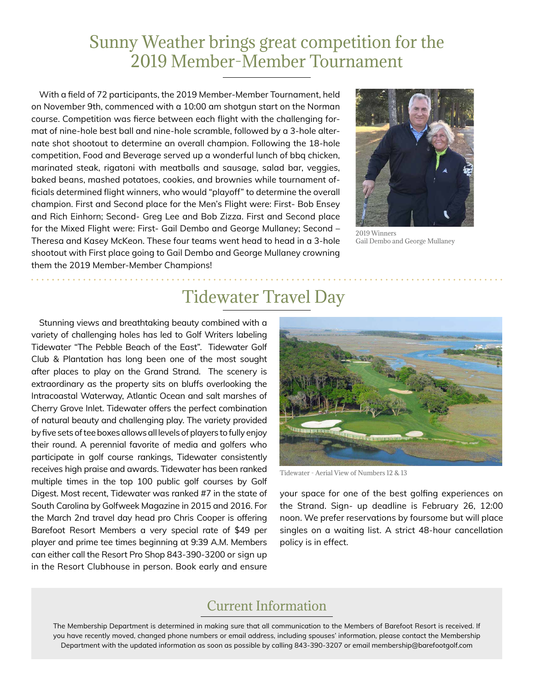#### Sunny Weather brings great competition for the 2019 Member-Member Tournament

With a field of 72 participants, the 2019 Member-Member Tournament, held on November 9th, commenced with a 10:00 am shotgun start on the Norman course. Competition was fierce between each flight with the challenging format of nine-hole best ball and nine-hole scramble, followed by a 3-hole alternate shot shootout to determine an overall champion. Following the 18-hole competition, Food and Beverage served up a wonderful lunch of bbq chicken, marinated steak, rigatoni with meatballs and sausage, salad bar, veggies, baked beans, mashed potatoes, cookies, and brownies while tournament officials determined flight winners, who would "playoff" to determine the overall champion. First and Second place for the Men's Flight were: First- Bob Ensey and Rich Einhorn; Second- Greg Lee and Bob Zizza. First and Second place for the Mixed Flight were: First- Gail Dembo and George Mullaney; Second – Theresa and Kasey McKeon. These four teams went head to head in a 3-hole shootout with First place going to Gail Dembo and George Mullaney crowning them the 2019 Member-Member Champions!



2019 Winners Gail Dembo and George Mullaney

### Tidewater Travel Day

Stunning views and breathtaking beauty combined with a variety of challenging holes has led to Golf Writers labeling Tidewater "The Pebble Beach of the East". Tidewater Golf Club & Plantation has long been one of the most sought after places to play on the Grand Strand. The scenery is extraordinary as the property sits on bluffs overlooking the Intracoastal Waterway, Atlantic Ocean and salt marshes of Cherry Grove Inlet. Tidewater offers the perfect combination of natural beauty and challenging play. The variety provided by five sets of tee boxes allows all levels of players to fully enjoy their round. A perennial favorite of media and golfers who participate in golf course rankings, Tidewater consistently receives high praise and awards. Tidewater has been ranked multiple times in the top 100 public golf courses by Golf Digest. Most recent, Tidewater was ranked #7 in the state of South Carolina by Golfweek Magazine in 2015 and 2016. For the March 2nd travel day head pro Chris Cooper is offering Barefoot Resort Members a very special rate of \$49 per player and prime tee times beginning at 9:39 A.M. Members can either call the Resort Pro Shop 843-390-3200 or sign up in the Resort Clubhouse in person. Book early and ensure



Tidewater - Aerial View of Numbers 12 & 13

your space for one of the best golfing experiences on the Strand. Sign- up deadline is February 26, 12:00 noon. We prefer reservations by foursome but will place singles on a waiting list. A strict 48-hour cancellation policy is in effect.

#### Current Information

The Membership Department is determined in making sure that all communication to the Members of Barefoot Resort is received. If you have recently moved, changed phone numbers or email address, including spouses' information, please contact the Membership Department with the updated information as soon as possible by calling 843-390-3207 or email membership@barefootgolf.com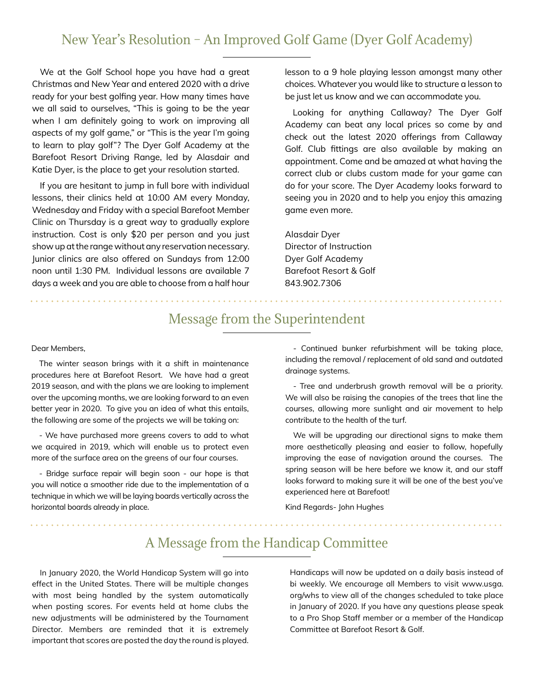#### New Year's Resolution – An Improved Golf Game (Dyer Golf Academy)

We at the Golf School hope you have had a great Christmas and New Year and entered 2020 with a drive ready for your best golfing year. How many times have we all said to ourselves, "This is going to be the year when I am definitely going to work on improving all aspects of my golf game," or "This is the year I'm going to learn to play golf"? The Dyer Golf Academy at the Barefoot Resort Driving Range, led by Alasdair and Katie Dyer, is the place to get your resolution started.

If you are hesitant to jump in full bore with individual lessons, their clinics held at 10:00 AM every Monday, Wednesday and Friday with a special Barefoot Member Clinic on Thursday is a great way to gradually explore instruction. Cost is only \$20 per person and you just show up at the range without any reservation necessary. Junior clinics are also offered on Sundays from 12:00 noon until 1:30 PM. Individual lessons are available 7 days a week and you are able to choose from a half hour

lesson to a 9 hole playing lesson amongst many other choices. Whatever you would like to structure a lesson to be just let us know and we can accommodate you.

Looking for anything Callaway? The Dyer Golf Academy can beat any local prices so come by and check out the latest 2020 offerings from Callaway Golf. Club fittings are also available by making an appointment. Come and be amazed at what having the correct club or clubs custom made for your game can do for your score. The Dyer Academy looks forward to seeing you in 2020 and to help you enjoy this amazing game even more.

Alasdair Dyer Director of Instruction Dyer Golf Academy Barefoot Resort & Golf 843.902.7306

#### Message from the Superintendent

Dear Members,

The winter season brings with it a shift in maintenance procedures here at Barefoot Resort. We have had a great 2019 season, and with the plans we are looking to implement over the upcoming months, we are looking forward to an even better year in 2020. To give you an idea of what this entails, the following are some of the projects we will be taking on:

- We have purchased more greens covers to add to what we acquired in 2019, which will enable us to protect even more of the surface area on the greens of our four courses.

- Bridge surface repair will begin soon - our hope is that you will notice a smoother ride due to the implementation of a technique in which we will be laying boards vertically across the horizontal boards already in place.

- Continued bunker refurbishment will be taking place, including the removal / replacement of old sand and outdated drainage systems.

- Tree and underbrush growth removal will be a priority. We will also be raising the canopies of the trees that line the courses, allowing more sunlight and air movement to help contribute to the health of the turf.

We will be upgrading our directional signs to make them more aesthetically pleasing and easier to follow, hopefully improving the ease of navigation around the courses. The spring season will be here before we know it, and our staff looks forward to making sure it will be one of the best you've experienced here at Barefoot!

Kind Regards- John Hughes

#### A Message from the Handicap Committee

In January 2020, the World Handicap System will go into effect in the United States. There will be multiple changes with most being handled by the system automatically when posting scores. For events held at home clubs the new adjustments will be administered by the Tournament Director. Members are reminded that it is extremely important that scores are posted the day the round is played.

Handicaps will now be updated on a daily basis instead of bi weekly. We encourage all Members to visit www.usga. org/whs to view all of the changes scheduled to take place in January of 2020. If you have any questions please speak to a Pro Shop Staff member or a member of the Handicap Committee at Barefoot Resort & Golf.